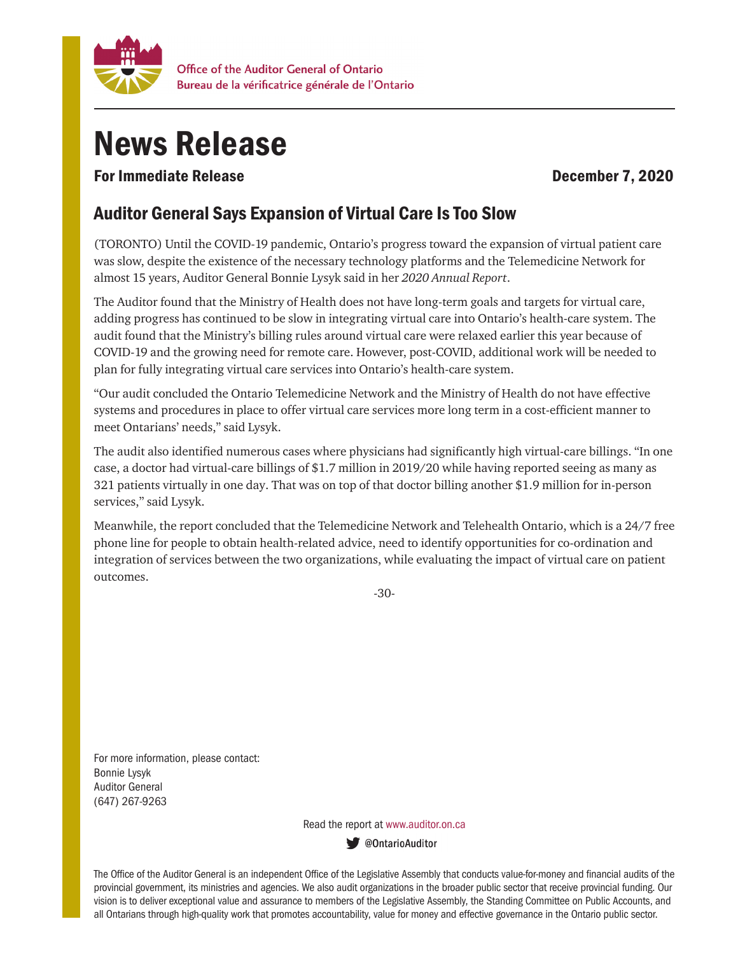

## News Release

For Immediate Release **December 7, 2020** 

## Auditor General Says Expansion of Virtual Care Is Too Slow

(TORONTO) Until the COVID-19 pandemic, Ontario's progress toward the expansion of virtual patient care was slow, despite the existence of the necessary technology platforms and the Telemedicine Network for almost 15 years, Auditor General Bonnie Lysyk said in her *2020 Annual Report*.

The Auditor found that the Ministry of Health does not have long-term goals and targets for virtual care, adding progress has continued to be slow in integrating virtual care into Ontario's health-care system. The audit found that the Ministry's billing rules around virtual care were relaxed earlier this year because of COVID-19 and the growing need for remote care. However, post-COVID, additional work will be needed to plan for fully integrating virtual care services into Ontario's health-care system.

"Our audit concluded the Ontario Telemedicine Network and the Ministry of Health do not have effective systems and procedures in place to offer virtual care services more long term in a cost-efficient manner to meet Ontarians' needs," said Lysyk.

The audit also identified numerous cases where physicians had significantly high virtual-care billings. "In one case, a doctor had virtual-care billings of \$1.7 million in 2019/20 while having reported seeing as many as 321 patients virtually in one day. That was on top of that doctor billing another \$1.9 million for in-person services," said Lysyk.

Meanwhile, the report concluded that the Telemedicine Network and Telehealth Ontario, which is a 24/7 free phone line for people to obtain health-related advice, need to identify opportunities for co-ordination and integration of services between the two organizations, while evaluating the impact of virtual care on patient outcomes.

-30-

For more information, please contact: Bonnie Lysyk Auditor General (647) 267-9263

Read the report at www.auditor.on.ca

ContarioAuditor

The Office of the Auditor General is an independent Office of the Legislative Assembly that conducts value-for-money and financial audits of the provincial government, its ministries and agencies. We also audit organizations in the broader public sector that receive provincial funding. Our vision is to deliver exceptional value and assurance to members of the Legislative Assembly, the Standing Committee on Public Accounts, and all Ontarians through high-quality work that promotes accountability, value for money and effective governance in the Ontario public sector.